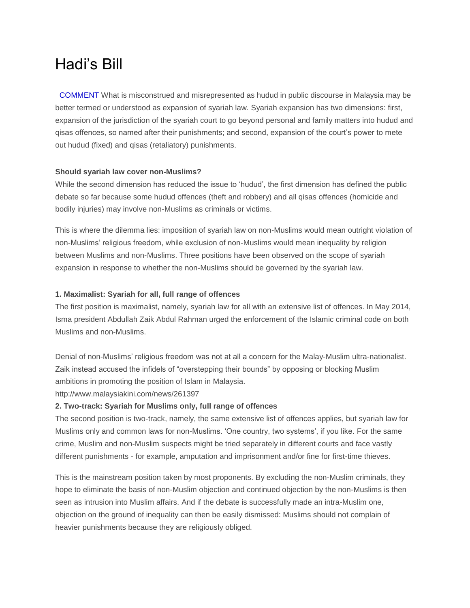# Hadi's Bill

 COMMENT What is misconstrued and misrepresented as hudud in public discourse in Malaysia may be better termed or understood as expansion of syariah law. Syariah expansion has two dimensions: first, expansion of the jurisdiction of the syariah court to go beyond personal and family matters into hudud and qisas offences, so named after their punishments; and second, expansion of the court's power to mete out hudud (fixed) and qisas (retaliatory) punishments.

# **Should syariah law cover non-Muslims?**

While the second dimension has reduced the issue to 'hudud', the first dimension has defined the public debate so far because some hudud offences (theft and robbery) and all qisas offences (homicide and bodily injuries) may involve non-Muslims as criminals or victims.

This is where the dilemma lies: imposition of syariah law on non-Muslims would mean outright violation of non-Muslims' religious freedom, while exclusion of non-Muslims would mean inequality by religion between Muslims and non-Muslims. Three positions have been observed on the scope of syariah expansion in response to whether the non-Muslims should be governed by the syariah law.

## **1. Maximalist: Syariah for all, full range of offences**

The first position is maximalist, namely, syariah law for all with an extensive list of offences. In May 2014, Isma president Abdullah Zaik Abdul Rahman urged the enforcement of the Islamic criminal code on both Muslims and non-Muslims.

Denial of non-Muslims' religious freedom was not at all a concern for the Malay-Muslim ultra-nationalist. Zaik instead accused the infidels of "overstepping their bounds" by opposing or blocking Muslim ambitions in promoting the position of Islam in Malaysia.

http://www.malaysiakini.com/news/261397

## **2. Two-track: Syariah for Muslims only, full range of offences**

The second position is two-track, namely, the same extensive list of offences applies, but syariah law for Muslims only and common laws for non-Muslims. 'One country, two systems', if you like. For the same crime, Muslim and non-Muslim suspects might be tried separately in different courts and face vastly different punishments - for example, amputation and imprisonment and/or fine for first-time thieves.

This is the mainstream position taken by most proponents. By excluding the non-Muslim criminals, they hope to eliminate the basis of non-Muslim objection and continued objection by the non-Muslims is then seen as intrusion into Muslim affairs. And if the debate is successfully made an intra-Muslim one, objection on the ground of inequality can then be easily dismissed: Muslims should not complain of heavier punishments because they are religiously obliged.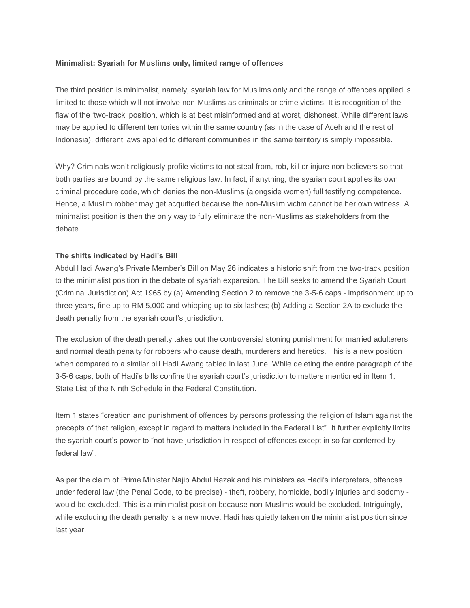## **Minimalist: Syariah for Muslims only, limited range of offences**

The third position is minimalist, namely, syariah law for Muslims only and the range of offences applied is limited to those which will not involve non-Muslims as criminals or crime victims. It is recognition of the flaw of the 'two-track' position, which is at best misinformed and at worst, dishonest. While different laws may be applied to different territories within the same country (as in the case of Aceh and the rest of Indonesia), different laws applied to different communities in the same territory is simply impossible.

Why? Criminals won't religiously profile victims to not steal from, rob, kill or injure non-believers so that both parties are bound by the same religious law. In fact, if anything, the syariah court applies its own criminal procedure code, which denies the non-Muslims (alongside women) full testifying competence. Hence, a Muslim robber may get acquitted because the non-Muslim victim cannot be her own witness. A minimalist position is then the only way to fully eliminate the non-Muslims as stakeholders from the debate.

## **The shifts indicated by Hadi's Bill**

Abdul Hadi Awang's Private Member's Bill on May 26 indicates a historic shift from the two-track position to the minimalist position in the debate of syariah expansion. The Bill seeks to amend the Syariah Court (Criminal Jurisdiction) Act 1965 by (a) Amending Section 2 to remove the 3-5-6 caps - imprisonment up to three years, fine up to RM 5,000 and whipping up to six lashes; (b) Adding a Section 2A to exclude the death penalty from the syariah court's jurisdiction.

The exclusion of the death penalty takes out the controversial stoning punishment for married adulterers and normal death penalty for robbers who cause death, murderers and heretics. This is a new position when compared to a similar bill Hadi Awang tabled in last June. While deleting the entire paragraph of the 3-5-6 caps, both of Hadi's bills confine the syariah court's jurisdiction to matters mentioned in Item 1, State List of the Ninth Schedule in the Federal Constitution.

Item 1 states "creation and punishment of offences by persons professing the religion of Islam against the precepts of that religion, except in regard to matters included in the Federal List". It further explicitly limits the syariah court's power to "not have jurisdiction in respect of offences except in so far conferred by federal law".

As per the claim of Prime Minister Najib Abdul Razak and his ministers as Hadi's interpreters, offences under federal law (the Penal Code, to be precise) - theft, robbery, homicide, bodily injuries and sodomy would be excluded. This is a minimalist position because non-Muslims would be excluded. Intriguingly, while excluding the death penalty is a new move, Hadi has quietly taken on the minimalist position since last year.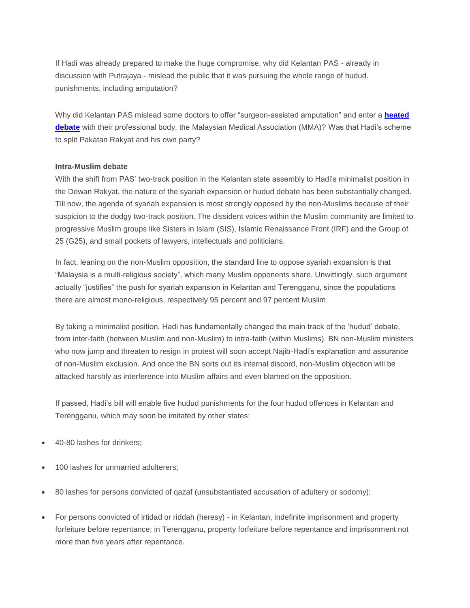If Hadi was already prepared to make the huge compromise, why did Kelantan PAS - already in discussion with Putrajaya - mislead the public that it was pursuing the whole range of hudud. punishments, including amputation?

Why did Kelantan PAS mislead some doctors to offer "surgeon-assisted amputation" and enter a **[heated](http://www.malaysiakini.com/news/260911)  [debate](http://www.malaysiakini.com/news/260911)** with their professional body, the Malaysian Medical Association (MMA)? Was that Hadi's scheme to split Pakatan Rakyat and his own party?

#### **Intra-Muslim debate**

With the shift from PAS' two-track position in the Kelantan state assembly to Hadi's minimalist position in the Dewan Rakyat, the nature of the syariah expansion or hudud debate has been substantially changed. Till now, the agenda of syariah expansion is most strongly opposed by the non-Muslims because of their suspicion to the dodgy two-track position. The dissident voices within the Muslim community are limited to progressive Muslim groups like Sisters in Islam (SIS), Islamic Renaissance Front (IRF) and the Group of 25 (G25), and small pockets of lawyers, intellectuals and politicians.

In fact, leaning on the non-Muslim opposition, the standard line to oppose syariah expansion is that "Malaysia is a multi-religious society", which many Muslim opponents share. Unwittingly, such argument actually "justifies" the push for syariah expansion in Kelantan and Terengganu, since the populations there are almost mono-religious, respectively 95 percent and 97 percent Muslim.

By taking a minimalist position, Hadi has fundamentally changed the main track of the 'hudud' debate, from inter-faith (between Muslim and non-Muslim) to intra-faith (within Muslims). BN non-Muslim ministers who now jump and threaten to resign in protest will soon accept Najib-Hadi's explanation and assurance of non-Muslim exclusion. And once the BN sorts out its internal discord, non-Muslim objection will be attacked harshly as interference into Muslim affairs and even blamed on the opposition.

If passed, Hadi's bill will enable five hudud punishments for the four hudud offences in Kelantan and Terengganu, which may soon be imitated by other states:

- 40-80 lashes for drinkers;
- 100 lashes for unmarried adulterers;
- 80 lashes for persons convicted of qazaf (unsubstantiated accusation of adultery or sodomy);
- For persons convicted of irtidad or riddah (heresy) in Kelantan, indefinite imprisonment and property forfeiture before repentance; in Terengganu, property forfeiture before repentance and imprisonment not more than five years after repentance.